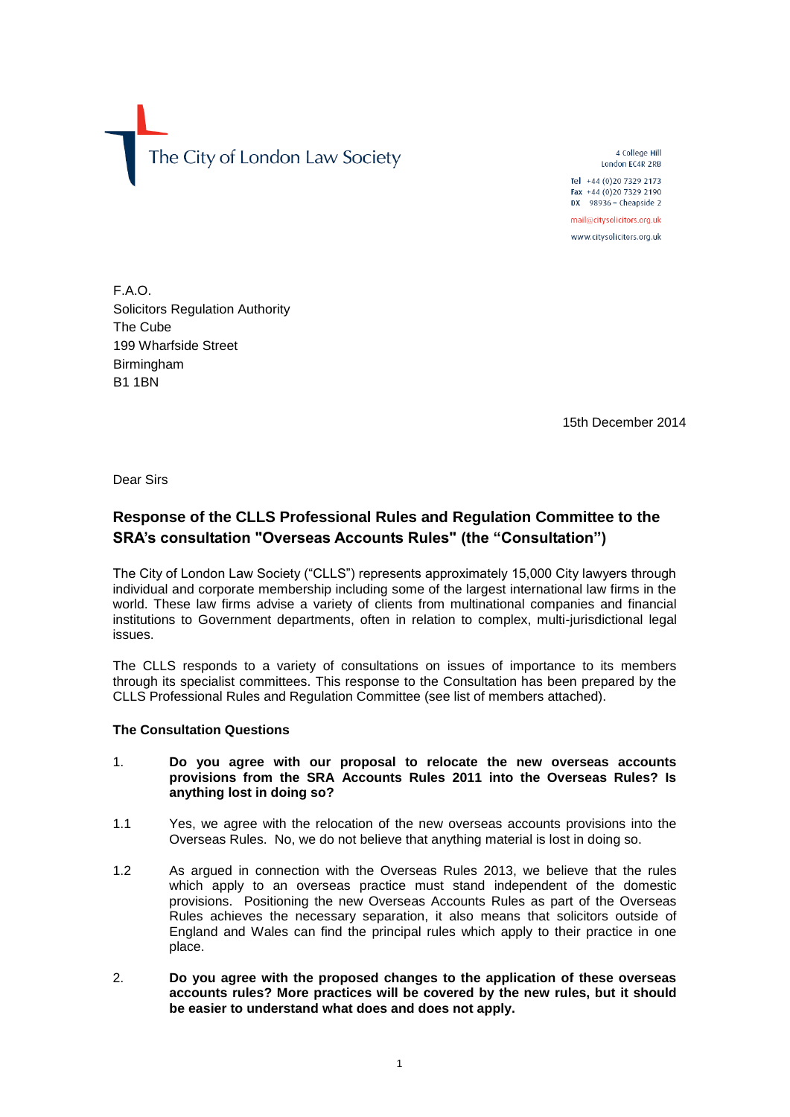The City of London Law Society

4 College Hill London EC4R 2RB Tel +44 (0) 20 7329 2173 Fax +44 (0) 20 7329 2190

DX  $98936 -$  Cheapside 2 mail@citysolicitors.org.uk

www.citysolicitors.org.uk

F.A.O. Solicitors Regulation Authority The Cube 199 Wharfside Street Birmingham B1 1BN

15th December 2014

Dear Sirs

# **Response of the CLLS Professional Rules and Regulation Committee to the SRA's consultation "Overseas Accounts Rules" (the "Consultation")**

The City of London Law Society ("CLLS") represents approximately 15,000 City lawyers through individual and corporate membership including some of the largest international law firms in the world. These law firms advise a variety of clients from multinational companies and financial institutions to Government departments, often in relation to complex, multi-jurisdictional legal issues.

The CLLS responds to a variety of consultations on issues of importance to its members through its specialist committees. This response to the Consultation has been prepared by the CLLS Professional Rules and Regulation Committee (see list of members attached).

#### **The Consultation Questions**

- 1. **Do you agree with our proposal to relocate the new overseas accounts provisions from the SRA Accounts Rules 2011 into the Overseas Rules? Is anything lost in doing so?**
- 1.1 Yes, we agree with the relocation of the new overseas accounts provisions into the Overseas Rules. No, we do not believe that anything material is lost in doing so.
- 1.2 As argued in connection with the Overseas Rules 2013, we believe that the rules which apply to an overseas practice must stand independent of the domestic provisions. Positioning the new Overseas Accounts Rules as part of the Overseas Rules achieves the necessary separation, it also means that solicitors outside of England and Wales can find the principal rules which apply to their practice in one place.
- 2. **Do you agree with the proposed changes to the application of these overseas accounts rules? More practices will be covered by the new rules, but it should be easier to understand what does and does not apply.**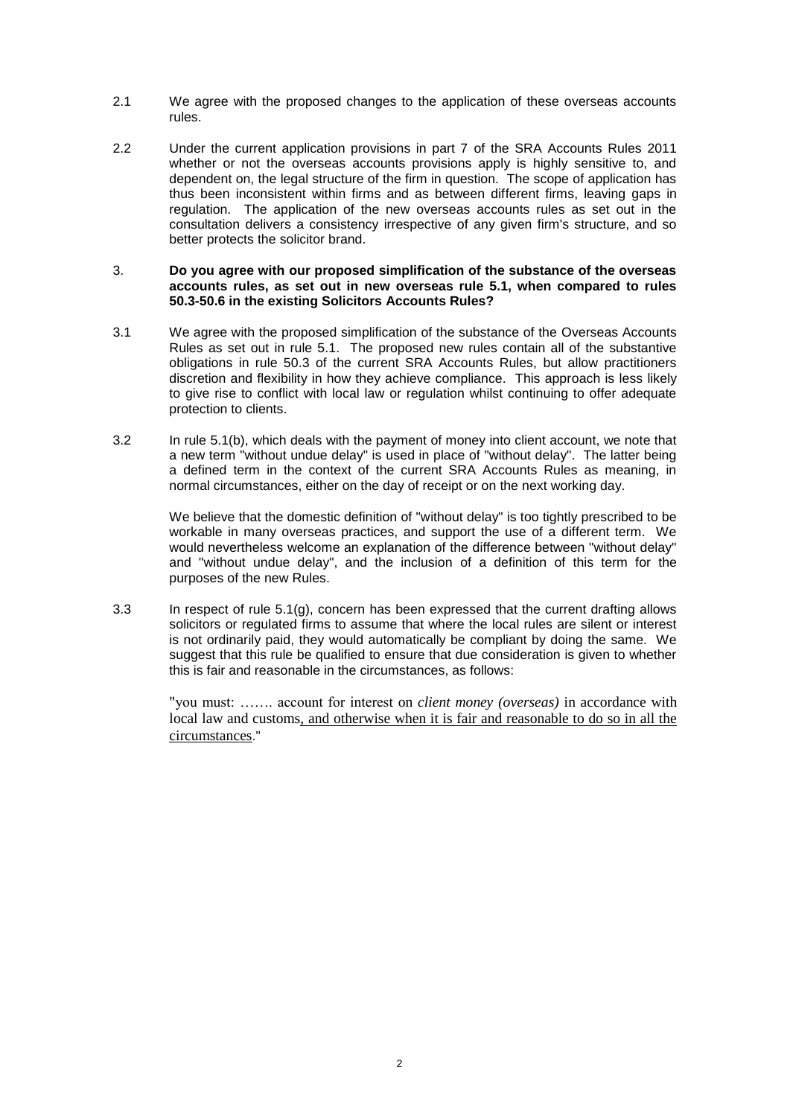- 2.1 We agree with the proposed changes to the application of these overseas accounts rules.
- 2.2 Under the current application provisions in part 7 of the SRA Accounts Rules 2011 whether or not the overseas accounts provisions apply is highly sensitive to, and dependent on, the legal structure of the firm in question. The scope of application has thus been inconsistent within firms and as between different firms, leaving gaps in regulation. The application of the new overseas accounts rules as set out in the consultation delivers a consistency irrespective of any given firm's structure, and so better protects the solicitor brand.

#### 3. **Do you agree with our proposed simplification of the substance of the overseas accounts rules, as set out in new overseas rule 5.1, when compared to rules 50.3-50.6 in the existing Solicitors Accounts Rules?**

- 3.1 We agree with the proposed simplification of the substance of the Overseas Accounts Rules as set out in rule 5.1. The proposed new rules contain all of the substantive obligations in rule 50.3 of the current SRA Accounts Rules, but allow practitioners discretion and flexibility in how they achieve compliance. This approach is less likely to give rise to conflict with local law or regulation whilst continuing to offer adequate protection to clients.
- 3.2 In rule 5.1(b), which deals with the payment of money into client account, we note that a new term "without undue delay" is used in place of "without delay". The latter being a defined term in the context of the current SRA Accounts Rules as meaning, in normal circumstances, either on the day of receipt or on the next working day.

We believe that the domestic definition of "without delay" is too tightly prescribed to be workable in many overseas practices, and support the use of a different term. We would nevertheless welcome an explanation of the difference between "without delay" and "without undue delay", and the inclusion of a definition of this term for the purposes of the new Rules.

3.3 In respect of rule 5.1(g), concern has been expressed that the current drafting allows solicitors or regulated firms to assume that where the local rules are silent or interest is not ordinarily paid, they would automatically be compliant by doing the same. We suggest that this rule be qualified to ensure that due consideration is given to whether this is fair and reasonable in the circumstances, as follows:

"you must: ……. account for interest on *client money (overseas)* in accordance with local law and customs*,* and otherwise when it is fair and reasonable to do so in all the circumstances."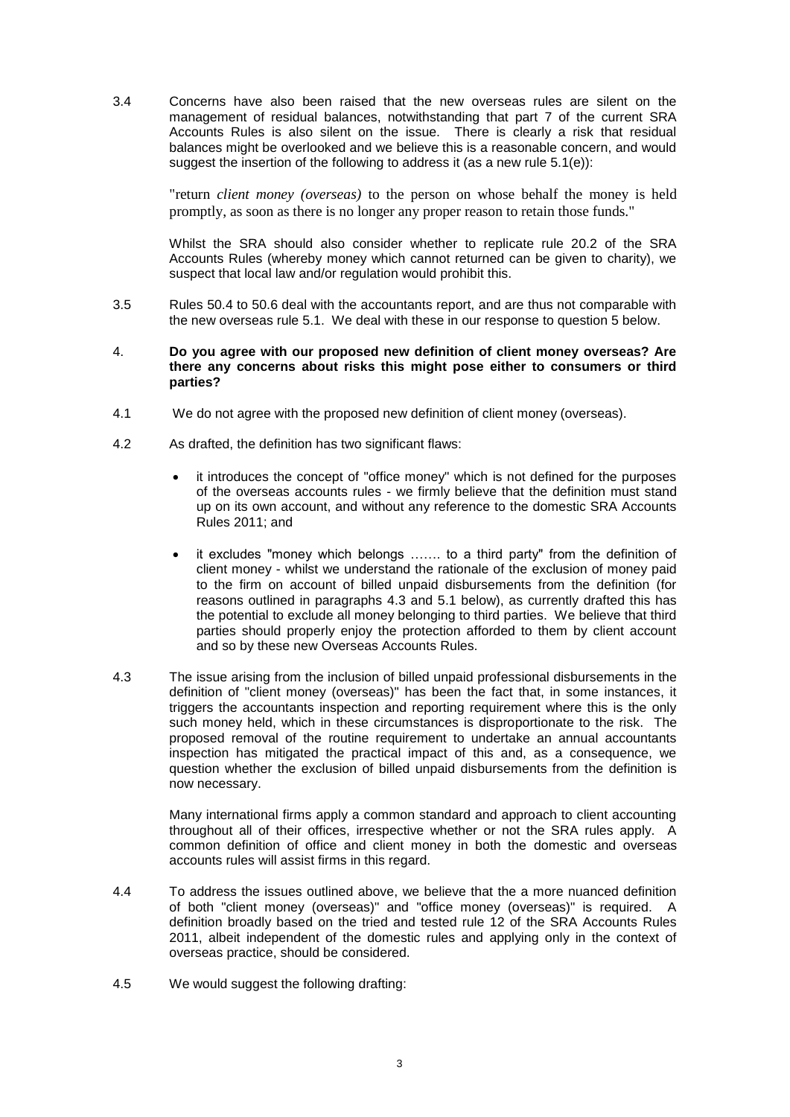3.4 Concerns have also been raised that the new overseas rules are silent on the management of residual balances, notwithstanding that part 7 of the current SRA Accounts Rules is also silent on the issue. There is clearly a risk that residual balances might be overlooked and we believe this is a reasonable concern, and would suggest the insertion of the following to address it (as a new rule 5.1(e)):

"return *client money (overseas)* to the person on whose behalf the money is held promptly, as soon as there is no longer any proper reason to retain those funds."

Whilst the SRA should also consider whether to replicate rule 20.2 of the SRA Accounts Rules (whereby money which cannot returned can be given to charity), we suspect that local law and/or regulation would prohibit this.

3.5 Rules 50.4 to 50.6 deal with the accountants report, and are thus not comparable with the new overseas rule 5.1. We deal with these in our response to question 5 below.

#### 4. **Do you agree with our proposed new definition of client money overseas? Are there any concerns about risks this might pose either to consumers or third parties?**

- 4.1 We do not agree with the proposed new definition of client money (overseas).
- 4.2 As drafted, the definition has two significant flaws:
	- it introduces the concept of "office money" which is not defined for the purposes of the overseas accounts rules - we firmly believe that the definition must stand up on its own account, and without any reference to the domestic SRA Accounts Rules 2011; and
	- it excludes "money which belongs ……. to a third party" from the definition of client money - whilst we understand the rationale of the exclusion of money paid to the firm on account of billed unpaid disbursements from the definition (for reasons outlined in paragraphs [4.3](#page-2-0) and [5.1](#page-3-0) below), as currently drafted this has the potential to exclude all money belonging to third parties. We believe that third parties should properly enjoy the protection afforded to them by client account and so by these new Overseas Accounts Rules.
- <span id="page-2-0"></span>4.3 The issue arising from the inclusion of billed unpaid professional disbursements in the definition of "client money (overseas)" has been the fact that, in some instances, it triggers the accountants inspection and reporting requirement where this is the only such money held, which in these circumstances is disproportionate to the risk. The proposed removal of the routine requirement to undertake an annual accountants inspection has mitigated the practical impact of this and, as a consequence, we question whether the exclusion of billed unpaid disbursements from the definition is now necessary.

Many international firms apply a common standard and approach to client accounting throughout all of their offices, irrespective whether or not the SRA rules apply. A common definition of office and client money in both the domestic and overseas accounts rules will assist firms in this regard.

- 4.4 To address the issues outlined above, we believe that the a more nuanced definition of both "client money (overseas)" and "office money (overseas)" is required. A definition broadly based on the tried and tested rule 12 of the SRA Accounts Rules 2011, albeit independent of the domestic rules and applying only in the context of overseas practice, should be considered.
- <span id="page-2-1"></span>4.5 We would suggest the following drafting: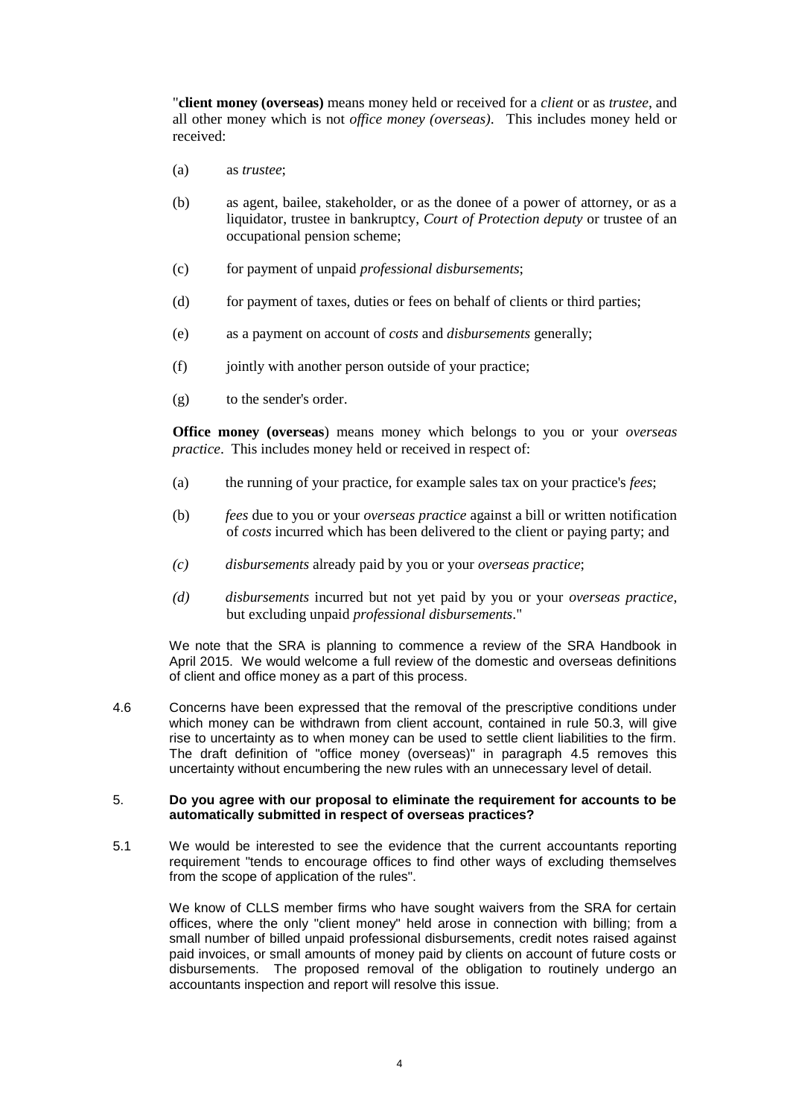"**client money (overseas)** means money held or received for a *client* or as *trustee*, and all other money which is not *office money (overseas)*. This includes money held or received:

- (a) as *trustee*;
- (b) as agent, bailee, stakeholder, or as the donee of a power of attorney, or as a liquidator, trustee in bankruptcy, *Court of Protection deputy* or trustee of an occupational pension scheme;
- (c) for payment of unpaid *professional disbursements*;
- (d) for payment of taxes, duties or fees on behalf of clients or third parties;
- (e) as a payment on account of *costs* and *disbursements* generally;
- (f) jointly with another person outside of your practice;
- (g) to the sender's order.

**Office money (overseas**) means money which belongs to you or your *overseas practice*. This includes money held or received in respect of:

- (a) the running of your practice, for example sales tax on your practice's *fees*;
- (b) *fees* due to you or your *overseas practice* against a bill or written notification of *costs* incurred which has been delivered to the client or paying party; and
- *(c) disbursements* already paid by you or your *overseas practice*;
- *(d) disbursements* incurred but not yet paid by you or your *overseas practice*, but excluding unpaid *professional disbursements*."

We note that the SRA is planning to commence a review of the SRA Handbook in April 2015. We would welcome a full review of the domestic and overseas definitions of client and office money as a part of this process.

4.6 Concerns have been expressed that the removal of the prescriptive conditions under which money can be withdrawn from client account, contained in rule 50.3, will give rise to uncertainty as to when money can be used to settle client liabilities to the firm. The draft definition of "office money (overseas)" in paragraph [4.5](#page-2-1) removes this uncertainty without encumbering the new rules with an unnecessary level of detail.

#### 5. **Do you agree with our proposal to eliminate the requirement for accounts to be automatically submitted in respect of overseas practices?**

<span id="page-3-0"></span>5.1 We would be interested to see the evidence that the current accountants reporting requirement "tends to encourage offices to find other ways of excluding themselves from the scope of application of the rules".

We know of CLLS member firms who have sought waivers from the SRA for certain offices, where the only "client money" held arose in connection with billing; from a small number of billed unpaid professional disbursements, credit notes raised against paid invoices, or small amounts of money paid by clients on account of future costs or disbursements. The proposed removal of the obligation to routinely undergo an accountants inspection and report will resolve this issue.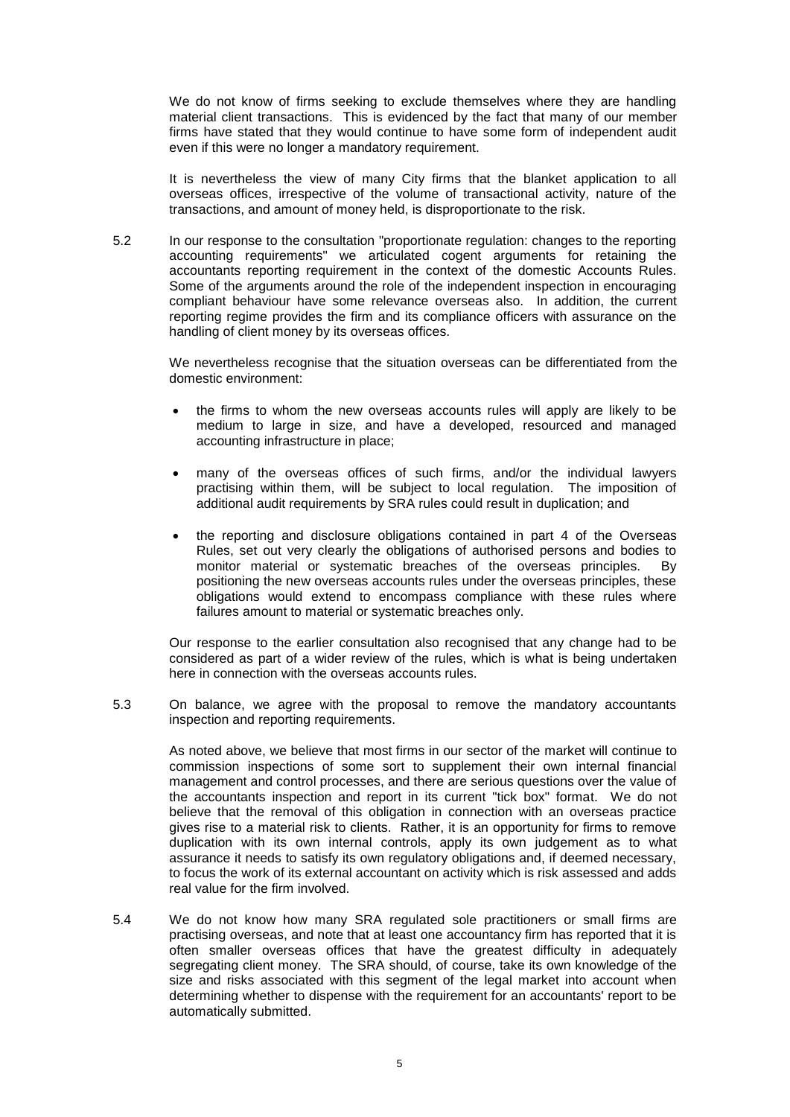We do not know of firms seeking to exclude themselves where they are handling material client transactions. This is evidenced by the fact that many of our member firms have stated that they would continue to have some form of independent audit even if this were no longer a mandatory requirement.

It is nevertheless the view of many City firms that the blanket application to all overseas offices, irrespective of the volume of transactional activity, nature of the transactions, and amount of money held, is disproportionate to the risk.

5.2 In our response to the consultation "proportionate regulation: changes to the reporting accounting requirements" we articulated cogent arguments for retaining the accountants reporting requirement in the context of the domestic Accounts Rules. Some of the arguments around the role of the independent inspection in encouraging compliant behaviour have some relevance overseas also. In addition, the current reporting regime provides the firm and its compliance officers with assurance on the handling of client money by its overseas offices.

We nevertheless recognise that the situation overseas can be differentiated from the domestic environment:

- the firms to whom the new overseas accounts rules will apply are likely to be medium to large in size, and have a developed, resourced and managed accounting infrastructure in place;
- many of the overseas offices of such firms, and/or the individual lawyers practising within them, will be subject to local regulation. The imposition of additional audit requirements by SRA rules could result in duplication; and
- the reporting and disclosure obligations contained in part 4 of the Overseas Rules, set out very clearly the obligations of authorised persons and bodies to monitor material or systematic breaches of the overseas principles. By positioning the new overseas accounts rules under the overseas principles, these obligations would extend to encompass compliance with these rules where failures amount to material or systematic breaches only.

Our response to the earlier consultation also recognised that any change had to be considered as part of a wider review of the rules, which is what is being undertaken here in connection with the overseas accounts rules.

5.3 On balance, we agree with the proposal to remove the mandatory accountants inspection and reporting requirements.

As noted above, we believe that most firms in our sector of the market will continue to commission inspections of some sort to supplement their own internal financial management and control processes, and there are serious questions over the value of the accountants inspection and report in its current "tick box" format. We do not believe that the removal of this obligation in connection with an overseas practice gives rise to a material risk to clients. Rather, it is an opportunity for firms to remove duplication with its own internal controls, apply its own judgement as to what assurance it needs to satisfy its own regulatory obligations and, if deemed necessary, to focus the work of its external accountant on activity which is risk assessed and adds real value for the firm involved.

5.4 We do not know how many SRA regulated sole practitioners or small firms are practising overseas, and note that at least one accountancy firm has reported that it is often smaller overseas offices that have the greatest difficulty in adequately segregating client money. The SRA should, of course, take its own knowledge of the size and risks associated with this segment of the legal market into account when determining whether to dispense with the requirement for an accountants' report to be automatically submitted.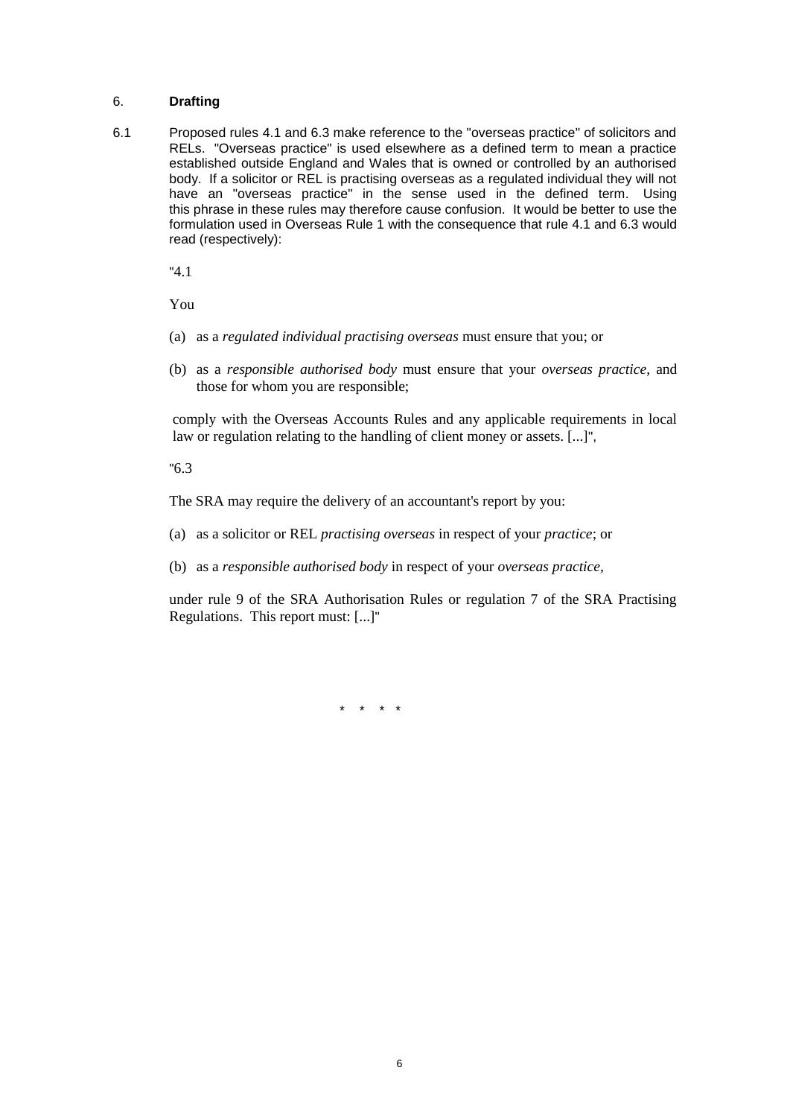#### 6. **Drafting**

6.1 Proposed rules 4.1 and 6.3 make reference to the "overseas practice" of solicitors and RELs. "Overseas practice" is used elsewhere as a defined term to mean a practice established outside England and Wales that is owned or controlled by an authorised body. If a solicitor or REL is practising overseas as a regulated individual they will not have an "overseas practice" in the sense used in the defined term. Using this phrase in these rules may therefore cause confusion. It would be better to use the formulation used in Overseas Rule 1 with the consequence that rule 4.1 and 6.3 would read (respectively):

"4.1

You

- (a) as a *regulated individual practising overseas* must ensure that you; or
- (b) as a *responsible authorised body* must ensure that your *overseas practice*, and those for whom you are responsible;

comply with the Overseas Accounts Rules and any applicable requirements in local law or regulation relating to the handling of client money or assets. [...]",

"6.3

The SRA may require the delivery of an accountant's report by you:

- (a) as a solicitor or REL *practising overseas* in respect of your *practice*; or
- (b) as a *responsible authorised body* in respect of your *overseas practice,*

under rule 9 of the SRA Authorisation Rules or regulation 7 of the SRA Practising Regulations. This report must: [...]"

\* \* \* \*